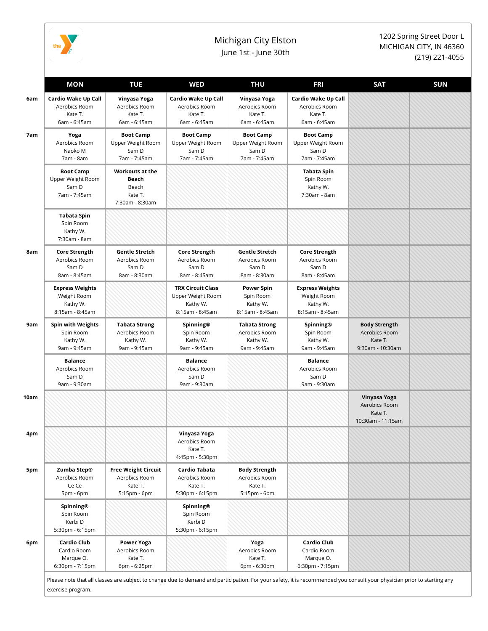

exercise program.

## Michigan City Elston June 1st - June 30th

1202 Spring Street Door L MICHIGAN CITY, IN 46360 (219) 221-4055

|  | MON                                                                  | <b>TUE</b>                                                             | <b>WED</b>                                                                   | <b>THU</b>                                                        | <b>FRI</b>                                                           | <b>SAT</b>                                                           | <b>SUN</b> |
|--|----------------------------------------------------------------------|------------------------------------------------------------------------|------------------------------------------------------------------------------|-------------------------------------------------------------------|----------------------------------------------------------------------|----------------------------------------------------------------------|------------|
|  | Cardio Wake Up Call<br>Aerobics Room<br>Kate T.<br>6am - 6:45am      | Vinyasa Yoga<br>Aerobics Room<br>Kate T.<br>6am - 6:45am               | Cardio Wake Up Call<br>Aerobics Room<br>Kate T.<br>6am - 6:45am              | Vinyasa Yoga<br>Aerobics Room<br>Kate T.<br>6am - 6:45am          | Cardio Wake Up Call<br>Aerobics Room<br>Kate T.<br>6am - 6:45am      |                                                                      |            |
|  | Yoga<br>Aerobics Room<br>Naoko M<br>7am - 8am                        | <b>Boot Camp</b><br>Upper Weight Room<br>Sam D<br>7am - 7:45am         | <b>Boot Camp</b><br>Upper Weight Room<br>Sam D<br>7am - 7:45am               | <b>Boot Camp</b><br>Upper Weight Room<br>Sam D<br>7am - 7:45am    | <b>Boot Camp</b><br>Upper Weight Room<br>Sam D<br>7am - 7:45am       |                                                                      |            |
|  | <b>Boot Camp</b><br>Upper Weight Room<br>Sam D<br>7am - 7:45am       | <b>Workouts at the</b><br>Beach<br>Beach<br>Kate T.<br>7:30am - 8:30am |                                                                              |                                                                   | Tabata Spin<br>Spin Room<br>Kathy W.<br>7:30am - 8am                 |                                                                      |            |
|  | <b>Tabata Spin</b><br>Spin Room<br>Kathy W.<br>7:30am - 8am          |                                                                        |                                                                              |                                                                   |                                                                      |                                                                      |            |
|  | <b>Core Strength</b><br>Aerobics Room<br>Sam D<br>8am - 8:45am       | <b>Gentle Stretch</b><br>Aerobics Room<br>Sam D<br>8am - 8:30am        | <b>Core Strength</b><br>Aerobics Room<br>Sam D<br>8am - 8:45am               | <b>Gentle Stretch</b><br>Aerobics Room<br>Sam D<br>8am - 8:30am   | <b>Core Strength</b><br>Aerobics Room<br>Sam D<br>8am - 8:45am       |                                                                      |            |
|  | <b>Express Weights</b><br>Weight Room<br>Kathy W.<br>8:15am - 8:45am |                                                                        | <b>TRX Circuit Class</b><br>Upper Weight Room<br>Kathy W.<br>8:15am - 8:45am | <b>Power Spin</b><br>Spin Room<br>Kathy W.<br>8:15am - 8:45am     | <b>Express Weights</b><br>Weight Room<br>Kathy W.<br>8:15am - 8:45am |                                                                      |            |
|  | <b>Spin with Weights</b><br>Spin Room<br>Kathy W.<br>9am - 9:45am    | Tabata Strong<br>Aerobics Room<br>Kathy W.<br>9am - 9:45am             | Spinning®<br>Spin Room<br>Kathy W.<br>9am - 9:45am                           | <b>Tabata Strong</b><br>Aerobics Room<br>Kathy W.<br>9am - 9:45am | Spinning®<br>Spin Room<br>Kathy W.<br>9am - 9:45am                   | <b>Body Strength</b><br>Aerobics Room<br>Kate T.<br>9:30am - 10:30am |            |
|  | <b>Balance</b><br>Aerobics Room<br>Sam D<br>9am - 9:30am             |                                                                        | <b>Balance</b><br>Aerobics Room<br>Sam D<br>9am - 9:30am                     |                                                                   | <b>Balance</b><br>Aerobics Room<br>Sam D<br>9am - 9:30am             |                                                                      |            |
|  |                                                                      |                                                                        |                                                                              |                                                                   |                                                                      | Vinyasa Yoga<br>Aerobics Room<br>Kate T.<br>10:30am - 11:15am        |            |
|  |                                                                      |                                                                        | Vinyasa Yoga<br>Aerobics Room<br>Kate T.<br>4:45pm - 5:30pm                  |                                                                   |                                                                      |                                                                      |            |
|  | Zumba Step®<br>Aerobics Room<br>Ce Ce<br>5pm - 6pm                   | <b>Free Weight Circuit</b><br>Aerobics Room<br>Kate T.<br>5:15pm - 6pm | Cardio Tabata<br>Aerobics Room<br>Kate T.<br>5:30pm - 6:15pm                 | <b>Body Strength</b><br>Aerobics Room<br>Kate T.<br>5:15pm - 6pm  |                                                                      |                                                                      |            |
|  | Spinning®<br>Spin Room<br>Kerbi D<br>5:30pm - 6:15pm                 |                                                                        | Spinning®<br>Spin Room<br>Kerbi D<br>5:30pm - 6:15pm                         |                                                                   |                                                                      |                                                                      |            |
|  | <b>Cardio Club</b><br>Cardio Room<br>Marque O.<br>6:30pm - 7:15pm    | <b>Power Yoga</b><br>Aerobics Room<br>Kate T.<br>6pm - 6:25pm          |                                                                              | Yoga<br>Aerobics Room<br>Kate T.<br>6pm - 6:30pm                  | <b>Cardio Club</b><br>Cardio Room<br>Marque O.<br>6:30pm - 7:15pm    |                                                                      |            |